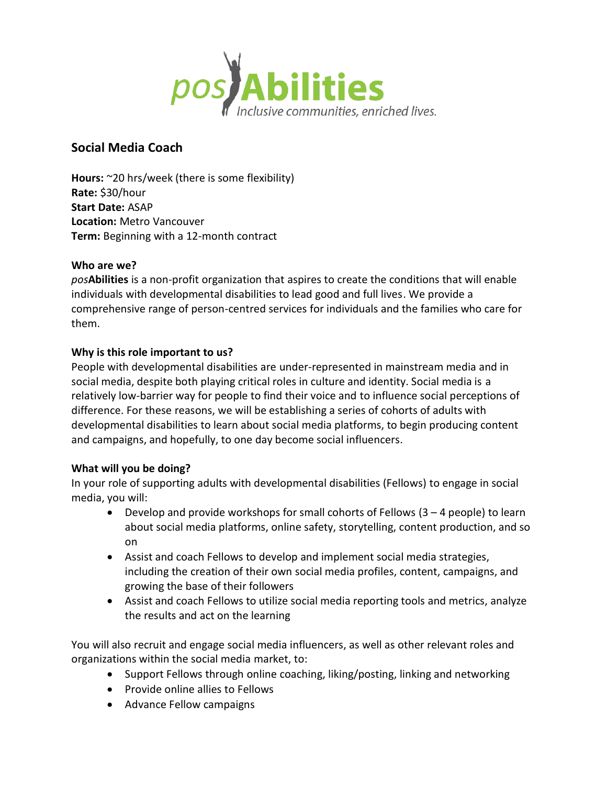

# **Social Media Coach**

**Hours:** ~20 hrs/week (there is some flexibility) **Rate:** \$30/hour **Start Date:** ASAP **Location:** Metro Vancouver **Term:** Beginning with a 12-month contract

### **Who are we?**

*pos***Abilities** is a non-profit organization that aspires to create the conditions that will enable individuals with developmental disabilities to lead good and full lives. We provide a comprehensive range of person-centred services for individuals and the families who care for them.

## **Why is this role important to us?**

People with developmental disabilities are under-represented in mainstream media and in social media, despite both playing critical roles in culture and identity. Social media is a relatively low-barrier way for people to find their voice and to influence social perceptions of difference. For these reasons, we will be establishing a series of cohorts of adults with developmental disabilities to learn about social media platforms, to begin producing content and campaigns, and hopefully, to one day become social influencers.

### **What will you be doing?**

In your role of supporting adults with developmental disabilities (Fellows) to engage in social media, you will:

- Develop and provide workshops for small cohorts of Fellows  $(3 4$  people) to learn about social media platforms, online safety, storytelling, content production, and so on
- Assist and coach Fellows to develop and implement social media strategies, including the creation of their own social media profiles, content, campaigns, and growing the base of their followers
- Assist and coach Fellows to utilize social media reporting tools and metrics, analyze the results and act on the learning

You will also recruit and engage social media influencers, as well as other relevant roles and organizations within the social media market, to:

- Support Fellows through online coaching, liking/posting, linking and networking
- Provide online allies to Fellows
- Advance Fellow campaigns